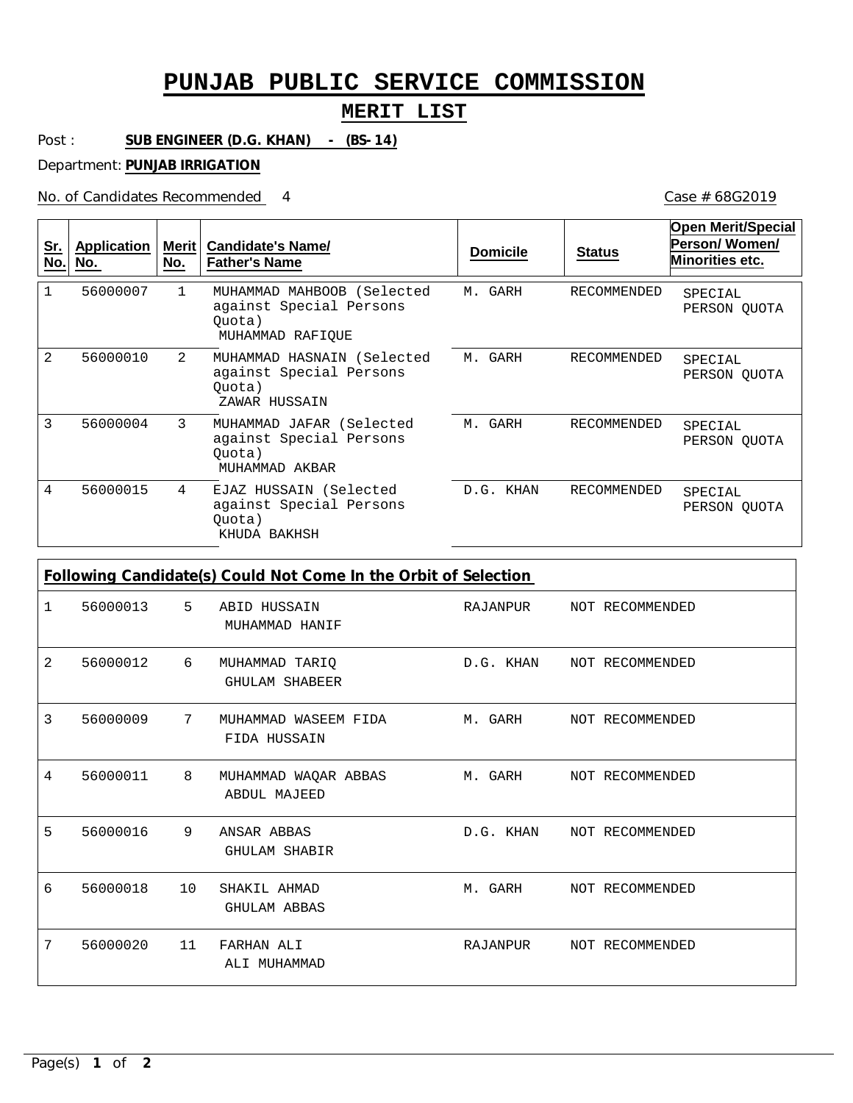## **PUNJAB PUBLIC SERVICE COMMISSION**

## **MERIT LIST**

Post : **SUB ENGINEER (D.G. KHAN) - (BS-14)**

Department: **PUNJAB IRRIGATION**

No. of Candidates Recommended

Case # 68G2019

| <u>Sr.</u><br>No. | <b>Application</b><br>No. | Merit  <br>No. | <b>Candidate's Name/</b><br><b>Father's Name</b>                                    | <b>Domicile</b> | <b>Status</b>      | <b>Open Merit/Special</b><br>Person/Women/<br>Minorities etc. |
|-------------------|---------------------------|----------------|-------------------------------------------------------------------------------------|-----------------|--------------------|---------------------------------------------------------------|
| $\mathbf{1}$      | 56000007                  | $\mathbf{1}$   | MUHAMMAD MAHBOOB (Selected<br>against Special Persons<br>Quota)<br>MUHAMMAD RAFIOUE | M. GARH         | <b>RECOMMENDED</b> | SPECIAL<br>PERSON QUOTA                                       |
| $\mathfrak{D}$    | 56000010                  | 2              | MUHAMMAD HASNAIN (Selected<br>against Special Persons<br>Ouota)<br>ZAWAR HUSSAIN    | M. GARH         | RECOMMENDED        | SPECIAL<br>PERSON QUOTA                                       |
| 3                 | 56000004                  | 3              | MUHAMMAD JAFAR (Selected<br>against Special Persons<br>Quota)<br>MUHAMMAD AKBAR     | M. GARH         | RECOMMENDED        | SPECIAL<br>PERSON QUOTA                                       |
| 4                 | 56000015                  | 4              | EJAZ HUSSAIN (Selected<br>against Special Persons<br>Ouota)<br>KHUDA BAKHSH         | D.G. KHAN       | RECOMMENDED        | SPECIAL<br>PERSON OUOTA                                       |

**Following Candidate(s) Could Not Come In the Orbit of Selection**

| 1 | 56000013 5 |                 | ABID HUSSAIN<br>MUHAMMAD HANIF              | RAJANPUR NOT RECOMMENDED  |
|---|------------|-----------------|---------------------------------------------|---------------------------|
| 2 | 56000012   | 6               | MUHAMMAD TARIQ<br><b>GHULAM SHABEER</b>     | D.G. KHAN NOT RECOMMENDED |
| 3 | 56000009   | $7\phantom{.0}$ | MUHAMMAD WASEEM FIDA<br>FIDA HUSSAIN        | M. GARH NOT RECOMMENDED   |
| 4 | 56000011   | 8               | MUHAMMAD WAQAR ABBAS<br><b>ABDUL MAJEED</b> | M. GARH NOT RECOMMENDED   |
| 5 | 56000016   | 9               | ANSAR ABBAS<br><b>GHULAM SHABIR</b>         | D.G. KHAN NOT RECOMMENDED |
| 6 | 56000018   | 10              | SHAKIL AHMAD<br><b>GHULAM ABBAS</b>         | M. GARH NOT RECOMMENDED   |
| 7 | 56000020   | 11              | FARHAN ALI<br>ALI MUHAMMAD                  | RAJANPUR NOT RECOMMENDED  |